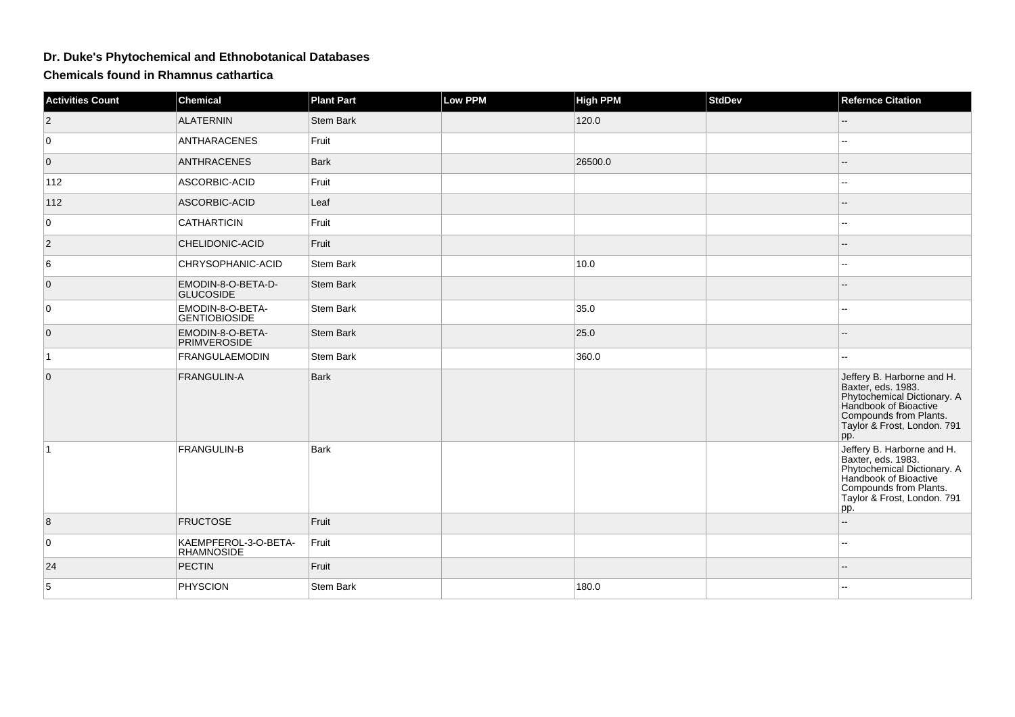## **Dr. Duke's Phytochemical and Ethnobotanical Databases**

**Chemicals found in Rhamnus cathartica**

| <b>Activities Count</b> | <b>Chemical</b>                           | <b>Plant Part</b> | <b>Low PPM</b> | <b>High PPM</b> | <b>StdDev</b> | <b>Refernce Citation</b>                                                                                                                                                 |
|-------------------------|-------------------------------------------|-------------------|----------------|-----------------|---------------|--------------------------------------------------------------------------------------------------------------------------------------------------------------------------|
| $\vert$ 2               | <b>ALATERNIN</b>                          | <b>Stem Bark</b>  |                | 120.0           |               | $\qquad \qquad -$                                                                                                                                                        |
| 0                       | <b>ANTHARACENES</b>                       | Fruit             |                |                 |               |                                                                                                                                                                          |
| $\overline{0}$          | <b>ANTHRACENES</b>                        | Bark              |                | 26500.0         |               | --                                                                                                                                                                       |
| 112                     | ASCORBIC-ACID                             | Fruit             |                |                 |               |                                                                                                                                                                          |
| 112                     | ASCORBIC-ACID                             | Leaf              |                |                 |               | --                                                                                                                                                                       |
| 0                       | <b>CATHARTICIN</b>                        | Fruit             |                |                 |               | --                                                                                                                                                                       |
| $\vert$ 2               | CHELIDONIC-ACID                           | Fruit             |                |                 |               | --                                                                                                                                                                       |
| 6                       | CHRYSOPHANIC-ACID                         | Stem Bark         |                | 10.0            |               | --                                                                                                                                                                       |
| $\overline{0}$          | EMODIN-8-O-BETA-D-<br><b>GLUCOSIDE</b>    | <b>Stem Bark</b>  |                |                 |               | --                                                                                                                                                                       |
| $\overline{0}$          | EMODIN-8-O-BETA-<br><b>GENTIOBIOSIDE</b>  | <b>Stem Bark</b>  |                | 35.0            |               | ц,                                                                                                                                                                       |
| $\overline{0}$          | EMODIN-8-O-BETA-<br><b>PRIMVEROSIDE</b>   | <b>Stem Bark</b>  |                | 25.0            |               |                                                                                                                                                                          |
| $\vert$ 1               | <b>FRANGULAEMODIN</b>                     | Stem Bark         |                | 360.0           |               |                                                                                                                                                                          |
| $\overline{0}$          | FRANGULIN-A                               | <b>Bark</b>       |                |                 |               | Jeffery B. Harborne and H.<br>Baxter, eds. 1983.<br>Phytochemical Dictionary. A<br>Handbook of Bioactive<br>Compounds from Plants.<br>Taylor & Frost, London. 791<br>pp. |
| $\vert$ 1               | <b>FRANGULIN-B</b>                        | <b>Bark</b>       |                |                 |               | Jeffery B. Harborne and H.<br>Baxter, eds. 1983.<br>Phytochemical Dictionary. A<br>Handbook of Bioactive<br>Compounds from Plants.<br>Taylor & Frost, London. 791<br>pp. |
| $\boldsymbol{8}$        | <b>FRUCTOSE</b>                           | Fruit             |                |                 |               | --                                                                                                                                                                       |
| $\overline{0}$          | KAEMPFEROL-3-O-BETA-<br><b>RHAMNOSIDE</b> | Fruit             |                |                 |               | $\overline{a}$                                                                                                                                                           |
| 24                      | <b>PECTIN</b>                             | Fruit             |                |                 |               |                                                                                                                                                                          |
| $\sqrt{5}$              | <b>PHYSCION</b>                           | Stem Bark         |                | 180.0           |               |                                                                                                                                                                          |